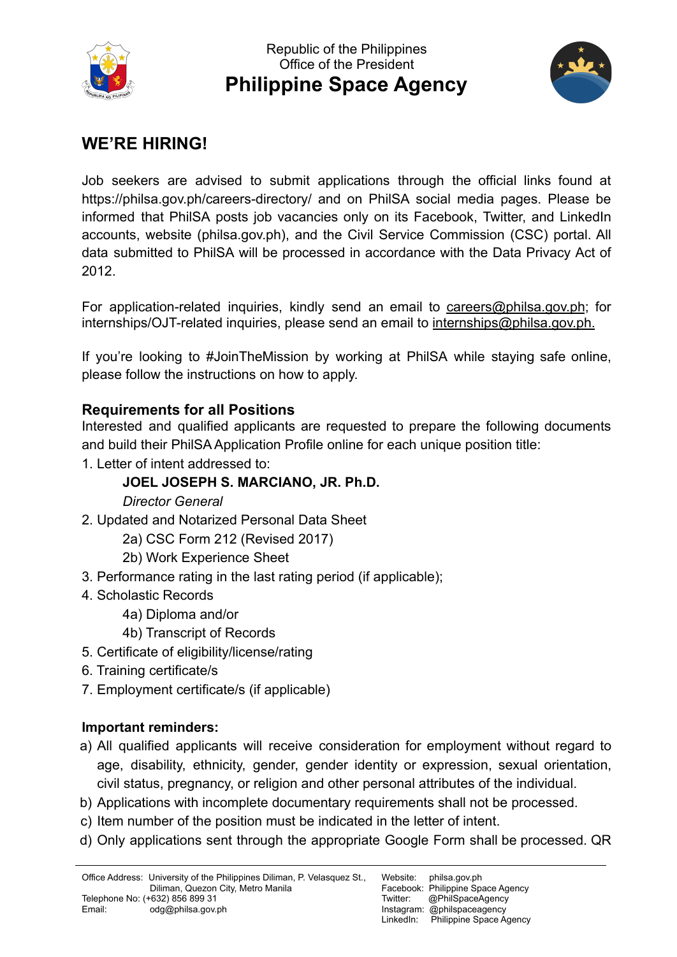



## **WE'RE HIRING!**

Job seekers are advised to submit applications through the official links found at https://philsa.gov.ph/careers-directory/ and on PhilSA social media pages. Please be informed that PhilSA posts job vacancies only on its Facebook, Twitter, and LinkedIn accounts, website (philsa.gov.ph), and the Civil Service Commission (CSC) portal. All data submitted to PhilSA will be processed in accordance with the Data Privacy Act of 2012.

For application-related inquiries, kindly send an email to careers@philsa.gov.ph; for internships/OJT-related inquiries, please send an email to internships@philsa.gov.ph.

If you're looking to #JoinTheMission by working at PhilSA while staying safe online, please follow the instructions on how to apply.

## **Requirements for all Positions**

Interested and qualified applicants are requested to prepare the following documents and build their PhilSA Application Profile online for each unique position title:

1. Letter of intent addressed to:

## **JOEL JOSEPH S. MARCIANO, JR. Ph.D.**

*Director General*

- 2. Updated and Notarized Personal Data Sheet
	- 2a) CSC Form 212 (Revised 2017)
	- 2b) Work Experience Sheet
- 3. Performance rating in the last rating period (if applicable);
- 4. Scholastic Records
	- 4a) Diploma and/or
	- 4b) Transcript of Records
- 5. Certificate of eligibility/license/rating
- 6. Training certificate/s
- 7. Employment certificate/s (if applicable)

## **Important reminders:**

- a) All qualified applicants will receive consideration for employment without regard to age, disability, ethnicity, gender, gender identity or expression, sexual orientation, civil status, pregnancy, or religion and other personal attributes of the individual.
- b) Applications with incomplete documentary requirements shall not be processed.
- c) Item number of the position must be indicated in the letter of intent.
- d) Only applications sent through the appropriate Google Form shall be processed. QR